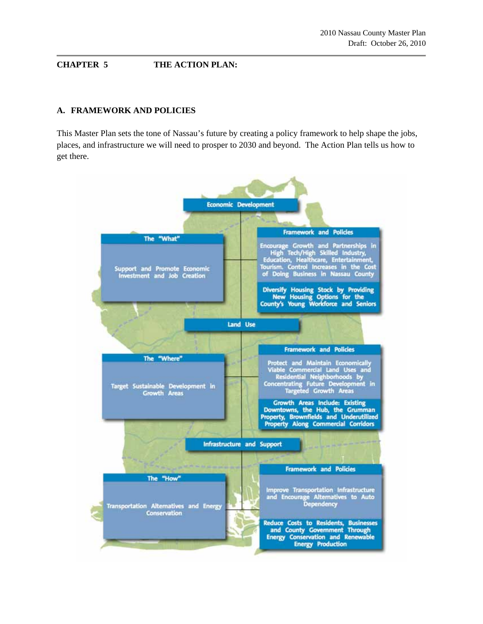# **CHAPTER 5 THE ACTION PLAN:**

### **A. FRAMEWORK AND POLICIES**

This Master Plan sets the tone of Nassau's future by creating a policy framework to help shape the jobs, places, and infrastructure we will need to prosper to 2030 and beyond. The Action Plan tells us how to get there.

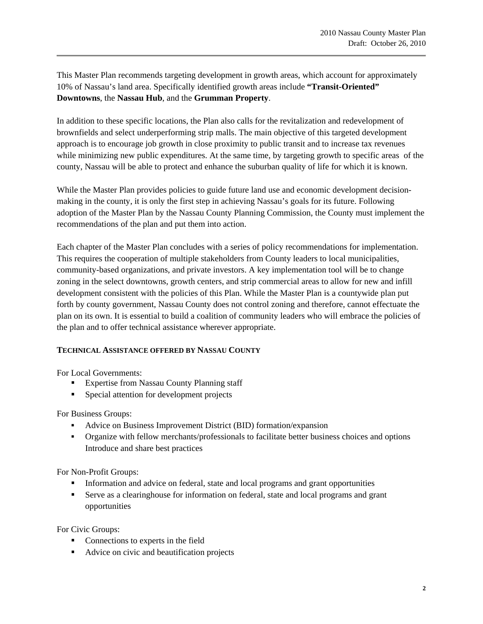This Master Plan recommends targeting development in growth areas, which account for approximately 10% of Nassau's land area. Specifically identified growth areas include **"Transit-Oriented" Downtowns**, the **Nassau Hub**, and the **Grumman Property**.

In addition to these specific locations, the Plan also calls for the revitalization and redevelopment of brownfields and select underperforming strip malls. The main objective of this targeted development approach is to encourage job growth in close proximity to public transit and to increase tax revenues while minimizing new public expenditures. At the same time, by targeting growth to specific areas of the county, Nassau will be able to protect and enhance the suburban quality of life for which it is known.

While the Master Plan provides policies to guide future land use and economic development decisionmaking in the county, it is only the first step in achieving Nassau's goals for its future. Following adoption of the Master Plan by the Nassau County Planning Commission, the County must implement the recommendations of the plan and put them into action.

Each chapter of the Master Plan concludes with a series of policy recommendations for implementation. This requires the cooperation of multiple stakeholders from County leaders to local municipalities, community-based organizations, and private investors. A key implementation tool will be to change zoning in the select downtowns, growth centers, and strip commercial areas to allow for new and infill development consistent with the policies of this Plan. While the Master Plan is a countywide plan put forth by county government, Nassau County does not control zoning and therefore, cannot effectuate the plan on its own. It is essential to build a coalition of community leaders who will embrace the policies of the plan and to offer technical assistance wherever appropriate.

# **TECHNICAL ASSISTANCE OFFERED BY NASSAU COUNTY**

For Local Governments:

- **Expertise from Nassau County Planning staff**
- **Special attention for development projects**

For Business Groups:

- Advice on Business Improvement District (BID) formation/expansion
- Organize with fellow merchants/professionals to facilitate better business choices and options Introduce and share best practices

For Non-Profit Groups:

- Information and advice on federal, state and local programs and grant opportunities
- Serve as a clearinghouse for information on federal, state and local programs and grant opportunities

For Civic Groups:

- Connections to experts in the field
- Advice on civic and beautification projects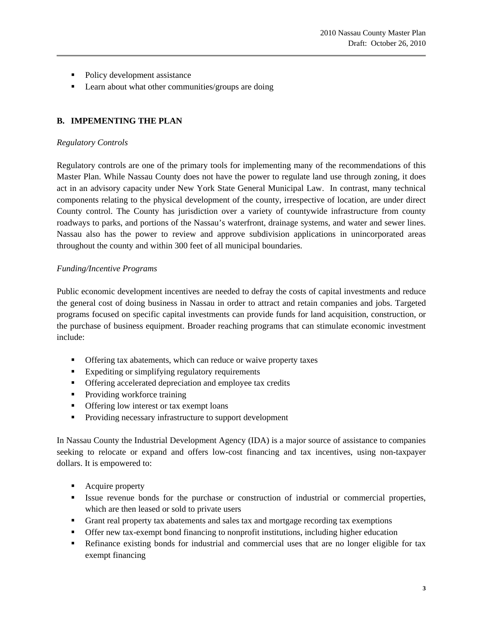- Policy development assistance
- **Learn about what other communities/groups are doing**

# **B. IMPEMENTING THE PLAN**

### *Regulatory Controls*

Regulatory controls are one of the primary tools for implementing many of the recommendations of this Master Plan. While Nassau County does not have the power to regulate land use through zoning, it does act in an advisory capacity under New York State General Municipal Law. In contrast, many technical components relating to the physical development of the county, irrespective of location, are under direct County control. The County has jurisdiction over a variety of countywide infrastructure from county roadways to parks, and portions of the Nassau's waterfront, drainage systems, and water and sewer lines. Nassau also has the power to review and approve subdivision applications in unincorporated areas throughout the county and within 300 feet of all municipal boundaries.

### *Funding/Incentive Programs*

Public economic development incentives are needed to defray the costs of capital investments and reduce the general cost of doing business in Nassau in order to attract and retain companies and jobs. Targeted programs focused on specific capital investments can provide funds for land acquisition, construction, or the purchase of business equipment. Broader reaching programs that can stimulate economic investment include:

- Offering tax abatements, which can reduce or waive property taxes
- Expediting or simplifying regulatory requirements
- Offering accelerated depreciation and employee tax credits
- Providing workforce training
- **•** Offering low interest or tax exempt loans
- **Providing necessary infrastructure to support development**

In Nassau County the Industrial Development Agency (IDA) is a major source of assistance to companies seeking to relocate or expand and offers low-cost financing and tax incentives, using non-taxpayer dollars. It is empowered to:

- Acquire property
- Issue revenue bonds for the purchase or construction of industrial or commercial properties, which are then leased or sold to private users
- Grant real property tax abatements and sales tax and mortgage recording tax exemptions
- Offer new tax-exempt bond financing to nonprofit institutions, including higher education
- Refinance existing bonds for industrial and commercial uses that are no longer eligible for tax exempt financing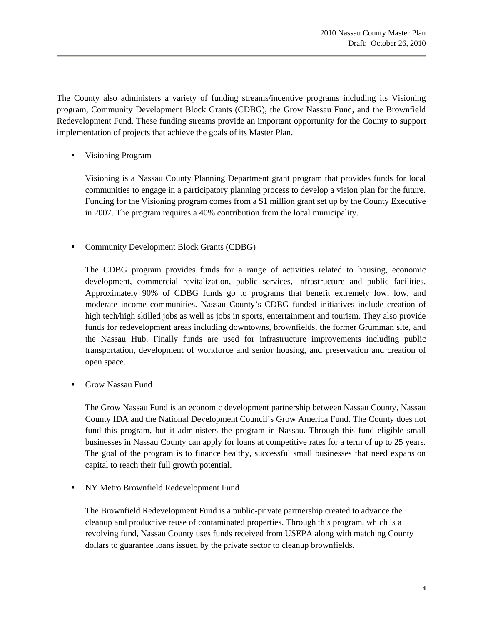The County also administers a variety of funding streams/incentive programs including its Visioning program, Community Development Block Grants (CDBG), the Grow Nassau Fund, and the Brownfield Redevelopment Fund. These funding streams provide an important opportunity for the County to support implementation of projects that achieve the goals of its Master Plan.

■ Visioning Program

Visioning is a Nassau County Planning Department grant program that provides funds for local communities to engage in a participatory planning process to develop a vision plan for the future. Funding for the Visioning program comes from a \$1 million grant set up by the County Executive in 2007. The program requires a 40% contribution from the local municipality.

**Community Development Block Grants (CDBG)** 

The CDBG program provides funds for a range of activities related to housing, economic development, commercial revitalization, public services, infrastructure and public facilities. Approximately 90% of CDBG funds go to programs that benefit extremely low, low, and moderate income communities. Nassau County's CDBG funded initiatives include creation of high tech/high skilled jobs as well as jobs in sports, entertainment and tourism. They also provide funds for redevelopment areas including downtowns, brownfields, the former Grumman site, and the Nassau Hub. Finally funds are used for infrastructure improvements including public transportation, development of workforce and senior housing, and preservation and creation of open space.

Grow Nassau Fund

The Grow Nassau Fund is an economic development partnership between Nassau County, Nassau County IDA and the National Development Council's Grow America Fund. The County does not fund this program, but it administers the program in Nassau. Through this fund eligible small businesses in Nassau County can apply for loans at competitive rates for a term of up to 25 years. The goal of the program is to finance healthy, successful small businesses that need expansion capital to reach their full growth potential.

NY Metro Brownfield Redevelopment Fund

The Brownfield Redevelopment Fund is a public-private partnership created to advance the cleanup and productive reuse of contaminated properties. Through this program, which is a revolving fund, Nassau County uses funds received from USEPA along with matching County dollars to guarantee loans issued by the private sector to cleanup brownfields.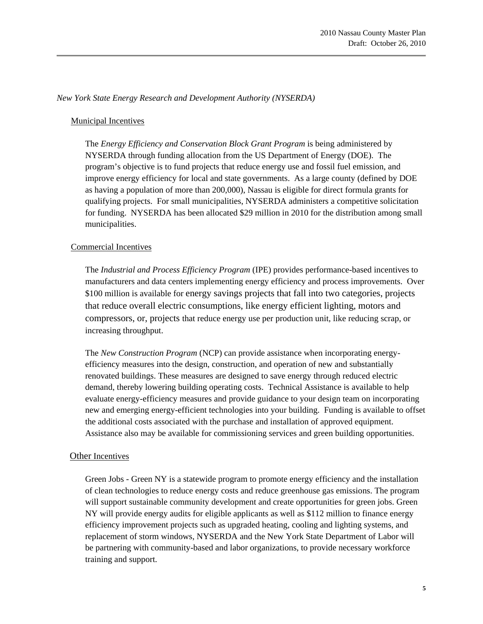### *New York State Energy Research and Development Authority (NYSERDA)*

### Municipal Incentives

 The *Energy Efficiency and Conservation Block Grant Program* is being administered by NYSERDA through funding allocation from the US Department of Energy (DOE). The program's objective is to fund projects that reduce energy use and fossil fuel emission, and improve energy efficiency for local and state governments. As a large county (defined by DOE as having a population of more than 200,000), Nassau is eligible for direct formula grants for qualifying projects. For small municipalities, NYSERDA administers a competitive solicitation for funding. NYSERDA has been allocated \$29 million in 2010 for the distribution among small municipalities.

### Commercial Incentives

 The *Industrial and Process Efficiency Program* (IPE) provides performance-based incentives to manufacturers and data centers implementing energy efficiency and process improvements. Over \$100 million is available for energy savings projects that fall into two categories, projects that reduce overall electric consumptions, like energy efficient lighting, motors and compressors, or, projects that reduce energy use per production unit, like reducing scrap, or increasing throughput.

 The *New Construction Program* (NCP) can provide assistance when incorporating energy efficiency measures into the design, construction, and operation of new and substantially renovated buildings. These measures are designed to save energy through reduced electric demand, thereby lowering building operating costs. Technical Assistance is available to help evaluate energy-efficiency measures and provide guidance to your design team on incorporating new and emerging energy-efficient technologies into your building. Funding is available to offset the additional costs associated with the purchase and installation of approved equipment. Assistance also may be available for commissioning services and green building opportunities.

#### Other Incentives

 Green Jobs - Green NY is a statewide program to promote energy efficiency and the installation of clean technologies to reduce energy costs and reduce greenhouse gas emissions. The program will support sustainable community development and create opportunities for green jobs. Green NY will provide energy audits for eligible applicants as well as \$112 million to finance energy efficiency improvement projects such as upgraded heating, cooling and lighting systems, and replacement of storm windows, NYSERDA and the New York State Department of Labor will be partnering with community-based and labor organizations, to provide necessary workforce training and support.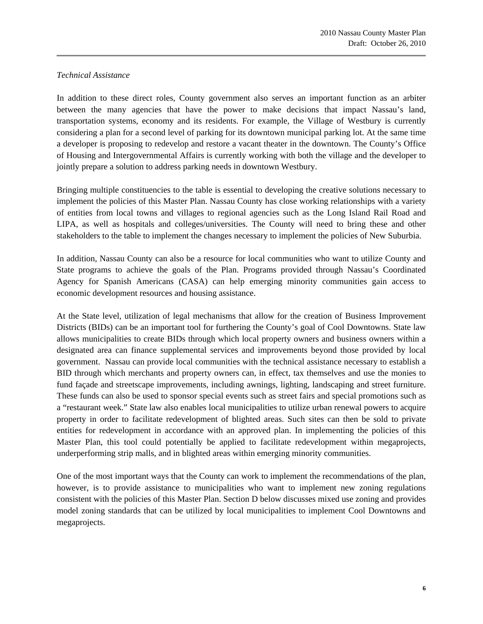#### *Technical Assistance*

In addition to these direct roles, County government also serves an important function as an arbiter between the many agencies that have the power to make decisions that impact Nassau's land, transportation systems, economy and its residents. For example, the Village of Westbury is currently considering a plan for a second level of parking for its downtown municipal parking lot. At the same time a developer is proposing to redevelop and restore a vacant theater in the downtown. The County's Office of Housing and Intergovernmental Affairs is currently working with both the village and the developer to jointly prepare a solution to address parking needs in downtown Westbury.

Bringing multiple constituencies to the table is essential to developing the creative solutions necessary to implement the policies of this Master Plan. Nassau County has close working relationships with a variety of entities from local towns and villages to regional agencies such as the Long Island Rail Road and LIPA, as well as hospitals and colleges/universities. The County will need to bring these and other stakeholders to the table to implement the changes necessary to implement the policies of New Suburbia.

In addition, Nassau County can also be a resource for local communities who want to utilize County and State programs to achieve the goals of the Plan. Programs provided through Nassau's Coordinated Agency for Spanish Americans (CASA) can help emerging minority communities gain access to economic development resources and housing assistance.

At the State level, utilization of legal mechanisms that allow for the creation of Business Improvement Districts (BIDs) can be an important tool for furthering the County's goal of Cool Downtowns. State law allows municipalities to create BIDs through which local property owners and business owners within a designated area can finance supplemental services and improvements beyond those provided by local government. Nassau can provide local communities with the technical assistance necessary to establish a BID through which merchants and property owners can, in effect, tax themselves and use the monies to fund façade and streetscape improvements, including awnings, lighting, landscaping and street furniture. These funds can also be used to sponsor special events such as street fairs and special promotions such as a "restaurant week." State law also enables local municipalities to utilize urban renewal powers to acquire property in order to facilitate redevelopment of blighted areas. Such sites can then be sold to private entities for redevelopment in accordance with an approved plan. In implementing the policies of this Master Plan, this tool could potentially be applied to facilitate redevelopment within megaprojects, underperforming strip malls, and in blighted areas within emerging minority communities.

One of the most important ways that the County can work to implement the recommendations of the plan, however, is to provide assistance to municipalities who want to implement new zoning regulations consistent with the policies of this Master Plan. Section D below discusses mixed use zoning and provides model zoning standards that can be utilized by local municipalities to implement Cool Downtowns and megaprojects.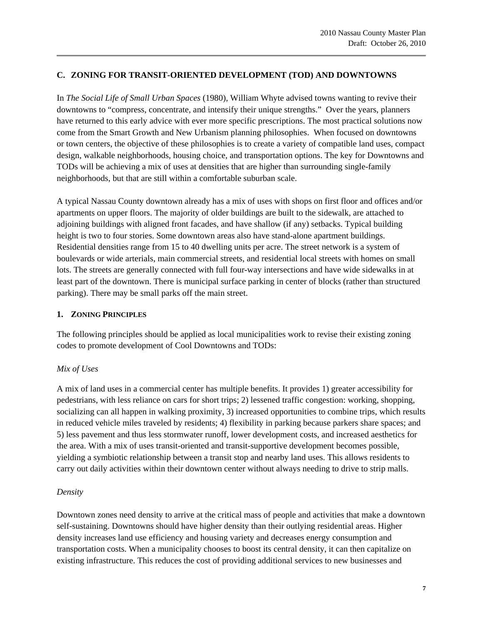### **C. ZONING FOR TRANSIT-ORIENTED DEVELOPMENT (TOD) AND DOWNTOWNS**

In *The Social Life of Small Urban Spaces* (1980), William Whyte advised towns wanting to revive their downtowns to "compress, concentrate, and intensify their unique strengths." Over the years, planners have returned to this early advice with ever more specific prescriptions. The most practical solutions now come from the Smart Growth and New Urbanism planning philosophies. When focused on downtowns or town centers, the objective of these philosophies is to create a variety of compatible land uses, compact design, walkable neighborhoods, housing choice, and transportation options. The key for Downtowns and TODs will be achieving a mix of uses at densities that are higher than surrounding single-family neighborhoods, but that are still within a comfortable suburban scale.

A typical Nassau County downtown already has a mix of uses with shops on first floor and offices and/or apartments on upper floors. The majority of older buildings are built to the sidewalk, are attached to adjoining buildings with aligned front facades, and have shallow (if any) setbacks. Typical building height is two to four stories. Some downtown areas also have stand-alone apartment buildings. Residential densities range from 15 to 40 dwelling units per acre. The street network is a system of boulevards or wide arterials, main commercial streets, and residential local streets with homes on small lots. The streets are generally connected with full four-way intersections and have wide sidewalks in at least part of the downtown. There is municipal surface parking in center of blocks (rather than structured parking). There may be small parks off the main street.

### **1. ZONING PRINCIPLES**

The following principles should be applied as local municipalities work to revise their existing zoning codes to promote development of Cool Downtowns and TODs:

# *Mix of Uses*

A mix of land uses in a commercial center has multiple benefits. It provides 1) greater accessibility for pedestrians, with less reliance on cars for short trips; 2) lessened traffic congestion: working, shopping, socializing can all happen in walking proximity, 3) increased opportunities to combine trips, which results in reduced vehicle miles traveled by residents; 4) flexibility in parking because parkers share spaces; and 5) less pavement and thus less stormwater runoff, lower development costs, and increased aesthetics for the area. With a mix of uses transit-oriented and transit-supportive development becomes possible, yielding a symbiotic relationship between a transit stop and nearby land uses. This allows residents to carry out daily activities within their downtown center without always needing to drive to strip malls.

### *Density*

Downtown zones need density to arrive at the critical mass of people and activities that make a downtown self-sustaining. Downtowns should have higher density than their outlying residential areas. Higher density increases land use efficiency and housing variety and decreases energy consumption and transportation costs. When a municipality chooses to boost its central density, it can then capitalize on existing infrastructure. This reduces the cost of providing additional services to new businesses and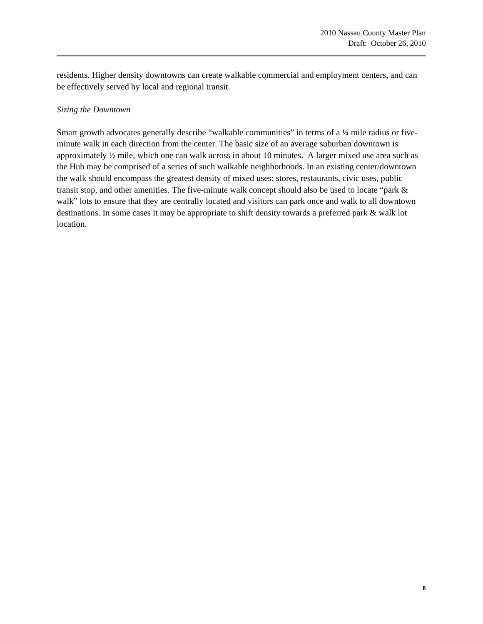residents. Higher density downtowns can create walkable commercial and employment centers, and can be effectively served by local and regional transit.

### *Sizing the Downtown*

Smart growth advocates generally describe "walkable communities" in terms of a 1/4 mile radius or fiveminute walk in each direction from the center. The basic size of an average suburban downtown is approximately  $\frac{1}{2}$  mile, which one can walk across in about 10 minutes. A larger mixed use area such as the Hub may be comprised of a series of such walkable neighborhoods. In an existing center/downtown the walk should encompass the greatest density of mixed uses: stores, restaurants, civic uses, public transit stop, and other amenities. The five-minute walk concept should also be used to locate "park & walk" lots to ensure that they are centrally located and visitors can park once and walk to all downtown destinations. In some cases it may be appropriate to shift density towards a preferred park & walk lot location.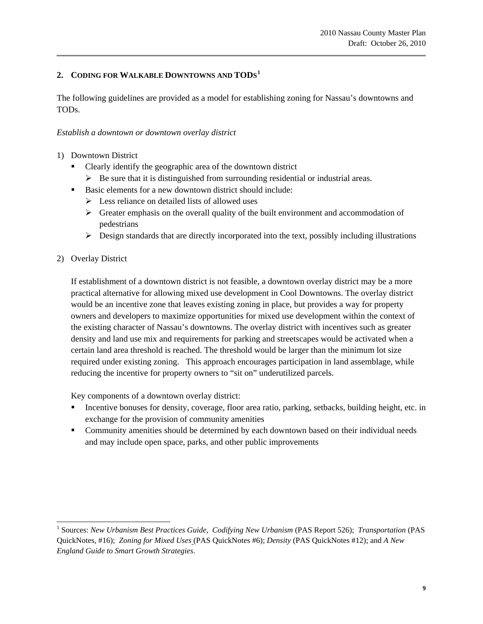# **2. CODING FOR WALKABLE DOWNTOWNS AND TODS[1](#page-8-0)**

The following guidelines are provided as a model for establishing zoning for Nassau's downtowns and TODs.

### *Establish a downtown or downtown overlay district*

- 1) Downtown District
	- Clearly identify the geographic area of the downtown district
		- $\triangleright$  Be sure that it is distinguished from surrounding residential or industrial areas.
	- Basic elements for a new downtown district should include:
		- $\triangleright$  Less reliance on detailed lists of allowed uses
		- $\triangleright$  Greater emphasis on the overall quality of the built environment and accommodation of pedestrians
		- $\triangleright$  Design standards that are directly incorporated into the text, possibly including illustrations
- 2) Overlay District

i.

If establishment of a downtown district is not feasible, a downtown overlay district may be a more practical alternative for allowing mixed use development in Cool Downtowns. The overlay district would be an incentive zone that leaves existing zoning in place, but provides a way for property owners and developers to maximize opportunities for mixed use development within the context of the existing character of Nassau's downtowns. The overlay district with incentives such as greater density and land use mix and requirements for parking and streetscapes would be activated when a certain land area threshold is reached. The threshold would be larger than the minimum lot size required under existing zoning. This approach encourages participation in land assemblage, while reducing the incentive for property owners to "sit on" underutilized parcels.

Key components of a downtown overlay district:

- Incentive bonuses for density, coverage, floor area ratio, parking, setbacks, building height, etc. in exchange for the provision of community amenities
- Community amenities should be determined by each downtown based on their individual needs and may include open space, parks, and other public improvements

<span id="page-8-0"></span><sup>&</sup>lt;sup>1</sup> Sources: *New Urbanism Best Practices Guide, Codifying New Urbanism* (PAS Report 526); *Transportation* (PAS QuickNotes, #16); *Zoning for Mixed Uses* (PAS QuickNotes #6); *Density* (PAS QuickNotes #12); and *A New England Guide to Smart Growth Strategies*.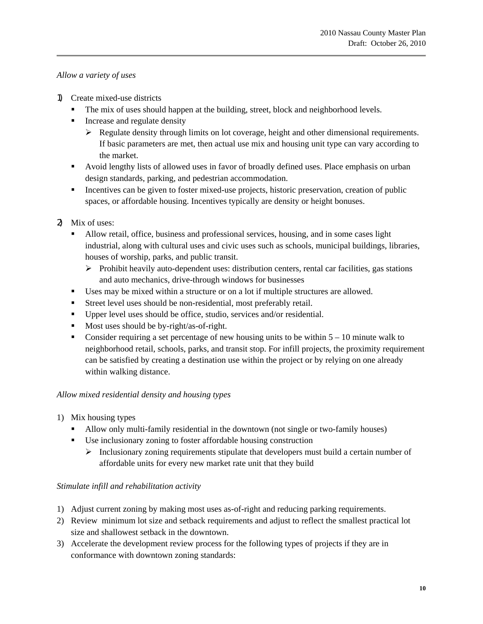# *Allow a variety of uses*

- 1) Create mixed-use districts
	- The mix of uses should happen at the building, street, block and neighborhood levels.
	- **Increase and regulate density** 
		- $\triangleright$  Regulate density through limits on lot coverage, height and other dimensional requirements. If basic parameters are met, then actual use mix and housing unit type can vary according to the market.
	- Avoid lengthy lists of allowed uses in favor of broadly defined uses. Place emphasis on urban design standards, parking, and pedestrian accommodation.
	- Incentives can be given to foster mixed-use projects, historic preservation, creation of public spaces, or affordable housing. Incentives typically are density or height bonuses.
- 2) Mix of uses:
	- Allow retail, office, business and professional services, housing, and in some cases light industrial, along with cultural uses and civic uses such as schools, municipal buildings, libraries, houses of worship, parks, and public transit.
		- ¾ Prohibit heavily auto-dependent uses: distribution centers, rental car facilities, gas stations and auto mechanics, drive-through windows for businesses
	- Uses may be mixed within a structure or on a lot if multiple structures are allowed.
	- Street level uses should be non-residential, most preferably retail.
	- Upper level uses should be office, studio, services and/or residential.
	- Most uses should be by-right/as-of-right.
	- Consider requiring a set percentage of new housing units to be within  $5 10$  minute walk to neighborhood retail, schools, parks, and transit stop. For infill projects, the proximity requirement can be satisfied by creating a destination use within the project or by relying on one already within walking distance.

# *Allow mixed residential density and housing types*

- 1) Mix housing types
	- Allow only multi-family residential in the downtown (not single or two-family houses)
	- Use inclusionary zoning to foster affordable housing construction
		- $\triangleright$  Inclusionary zoning requirements stipulate that developers must build a certain number of affordable units for every new market rate unit that they build

# *Stimulate infill and rehabilitation activity*

- 1) Adjust current zoning by making most uses as-of-right and reducing parking requirements.
- 2) Review minimum lot size and setback requirements and adjust to reflect the smallest practical lot size and shallowest setback in the downtown.
- 3) Accelerate the development review process for the following types of projects if they are in conformance with downtown zoning standards: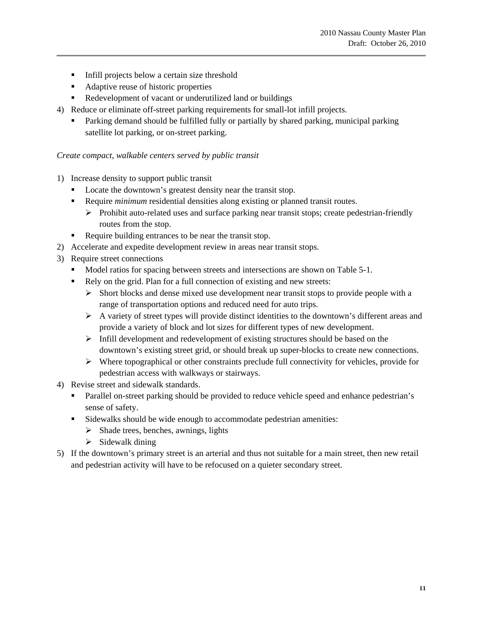- Infill projects below a certain size threshold
- Adaptive reuse of historic properties
- Redevelopment of vacant or underutilized land or buildings
- 4) Reduce or eliminate off-street parking requirements for small-lot infill projects.
	- Parking demand should be fulfilled fully or partially by shared parking, municipal parking satellite lot parking, or on-street parking.

#### *Create compact, walkable centers served by public transit*

- 1) Increase density to support public transit
	- Locate the downtown's greatest density near the transit stop.
	- Require *minimum* residential densities along existing or planned transit routes.
		- $\triangleright$  Prohibit auto-related uses and surface parking near transit stops; create pedestrian-friendly routes from the stop.
	- Require building entrances to be near the transit stop.
- 2) Accelerate and expedite development review in areas near transit stops.
- 3) Require street connections
	- Model ratios for spacing between streets and intersections are shown on Table 5-1.
	- Rely on the grid. Plan for a full connection of existing and new streets:
		- $\triangleright$  Short blocks and dense mixed use development near transit stops to provide people with a range of transportation options and reduced need for auto trips.
		- $\triangleright$  A variety of street types will provide distinct identities to the downtown's different areas and provide a variety of block and lot sizes for different types of new development.
		- $\triangleright$  Infill development and redevelopment of existing structures should be based on the downtown's existing street grid, or should break up super-blocks to create new connections.
		- $\triangleright$  Where topographical or other constraints preclude full connectivity for vehicles, provide for pedestrian access with walkways or stairways.
- 4) Revise street and sidewalk standards.
	- Parallel on-street parking should be provided to reduce vehicle speed and enhance pedestrian's sense of safety.
	- Sidewalks should be wide enough to accommodate pedestrian amenities:
		- $\triangleright$  Shade trees, benches, awnings, lights
		- $\triangleright$  Sidewalk dining
- 5) If the downtown's primary street is an arterial and thus not suitable for a main street, then new retail and pedestrian activity will have to be refocused on a quieter secondary street.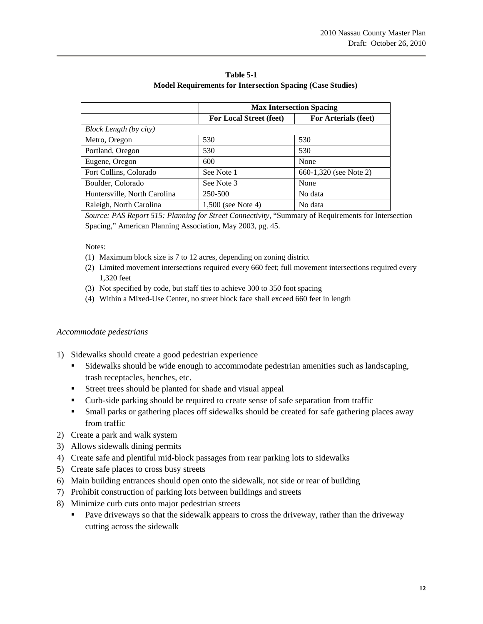|                               | <b>Max Intersection Spacing</b> |                        |
|-------------------------------|---------------------------------|------------------------|
|                               | <b>For Local Street (feet)</b>  | For Arterials (feet)   |
| <b>Block Length (by city)</b> |                                 |                        |
| Metro, Oregon                 | 530                             | 530                    |
| Portland, Oregon              | 530                             | 530                    |
| Eugene, Oregon                | 600                             | None                   |
| Fort Collins, Colorado        | See Note 1                      | 660-1,320 (see Note 2) |
| Boulder, Colorado             | See Note 3                      | None                   |
| Huntersville, North Carolina  | 250-500                         | No data                |
| Raleigh, North Carolina       | 1,500 (see Note 4)              | No data                |

**Table 5-1 Model Requirements for Intersection Spacing (Case Studies)** 

*Source: PAS Report 515: Planning for Street Connectivity,* "Summary of Requirements for Intersection Spacing," American Planning Association, May 2003, pg. 45.

Notes:

- (1) Maximum block size is 7 to 12 acres, depending on zoning district
- (2) Limited movement intersections required every 660 feet; full movement intersections required every 1,320 feet
- (3) Not specified by code, but staff ties to achieve 300 to 350 foot spacing
- (4) Within a Mixed-Use Center, no street block face shall exceed 660 feet in length

### *Accommodate pedestrians*

- 1) Sidewalks should create a good pedestrian experience
	- Sidewalks should be wide enough to accommodate pedestrian amenities such as landscaping, trash receptacles, benches, etc.
	- Street trees should be planted for shade and visual appeal
	- Curb-side parking should be required to create sense of safe separation from traffic
	- Small parks or gathering places off sidewalks should be created for safe gathering places away from traffic
- 2) Create a park and walk system
- 3) Allows sidewalk dining permits
- 4) Create safe and plentiful mid-block passages from rear parking lots to sidewalks
- 5) Create safe places to cross busy streets
- 6) Main building entrances should open onto the sidewalk, not side or rear of building
- 7) Prohibit construction of parking lots between buildings and streets
- 8) Minimize curb cuts onto major pedestrian streets
	- Pave driveways so that the sidewalk appears to cross the driveway, rather than the driveway cutting across the sidewalk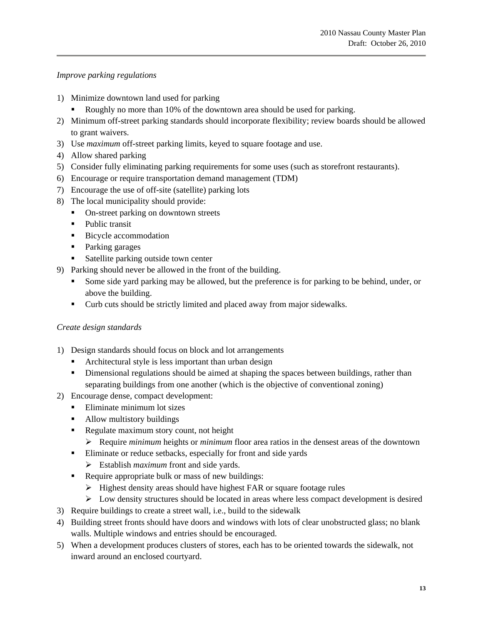*Improve parking regulations* 

- 1) Minimize downtown land used for parking
	- Roughly no more than 10% of the downtown area should be used for parking.
- 2) Minimum off-street parking standards should incorporate flexibility; review boards should be allowed to grant waivers.
- 3) Use *maximum* off-street parking limits, keyed to square footage and use.
- 4) Allow shared parking
- 5) Consider fully eliminating parking requirements for some uses (such as storefront restaurants).
- 6) Encourage or require transportation demand management (TDM)
- 7) Encourage the use of off-site (satellite) parking lots
- 8) The local municipality should provide:
	- On-street parking on downtown streets
	- Public transit
	- **Bicycle accommodation**
	- Parking garages
	- Satellite parking outside town center
- 9) Parking should never be allowed in the front of the building.
	- Some side yard parking may be allowed, but the preference is for parking to be behind, under, or above the building.
	- Curb cuts should be strictly limited and placed away from major sidewalks.

### *Create design standards*

- 1) Design standards should focus on block and lot arrangements
	- Architectural style is less important than urban design
	- Dimensional regulations should be aimed at shaping the spaces between buildings, rather than separating buildings from one another (which is the objective of conventional zoning)
- 2) Encourage dense, compact development:
	- **Eliminate minimum lot sizes**
	- Allow multistory buildings
	- Regulate maximum story count, not height
		- ¾ Require *minimum* heights or *minimum* floor area ratios in the densest areas of the downtown
	- Eliminate or reduce setbacks, especially for front and side yards
		- ¾ Establish *maximum* front and side yards.
	- Require appropriate bulk or mass of new buildings:
		- $\triangleright$  Highest density areas should have highest FAR or square footage rules
		- $\triangleright$  Low density structures should be located in areas where less compact development is desired
- 3) Require buildings to create a street wall, i.e., build to the sidewalk
- 4) Building street fronts should have doors and windows with lots of clear unobstructed glass; no blank walls. Multiple windows and entries should be encouraged.
- 5) When a development produces clusters of stores, each has to be oriented towards the sidewalk, not inward around an enclosed courtyard.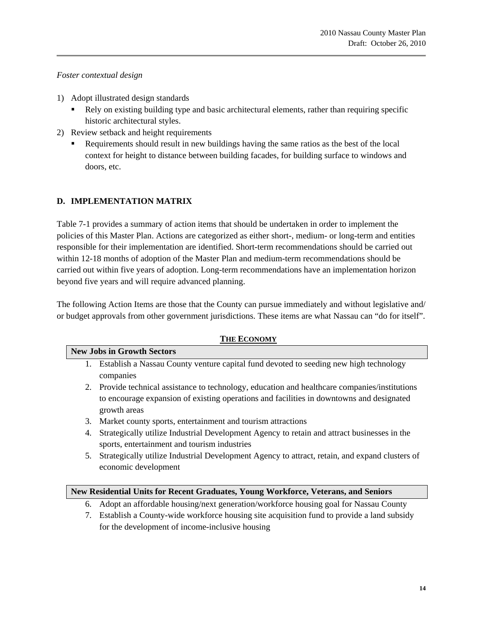### *Foster contextual design*

- 1) Adopt illustrated design standards
	- Rely on existing building type and basic architectural elements, rather than requiring specific historic architectural styles.
- 2) Review setback and height requirements
	- Requirements should result in new buildings having the same ratios as the best of the local context for height to distance between building facades, for building surface to windows and doors, etc.

# **D. IMPLEMENTATION MATRIX**

Table 7-1 provides a summary of action items that should be undertaken in order to implement the policies of this Master Plan. Actions are categorized as either short-, medium- or long-term and entities responsible for their implementation are identified. Short-term recommendations should be carried out within 12-18 months of adoption of the Master Plan and medium-term recommendations should be carried out within five years of adoption. Long-term recommendations have an implementation horizon beyond five years and will require advanced planning.

The following Action Items are those that the County can pursue immediately and without legislative and/ or budget approvals from other government jurisdictions. These items are what Nassau can "do for itself".

# **THE ECONOMY New Jobs in Growth Sectors**  1. Establish a Nassau County venture capital fund devoted to seeding new high technology companies 2. Provide technical assistance to technology, education and healthcare companies/institutions to encourage expansion of existing operations and facilities in downtowns and designated growth areas 3. Market county sports, entertainment and tourism attractions 4. Strategically utilize Industrial Development Agency to retain and attract businesses in the

sports, entertainment and tourism industries 5. Strategically utilize Industrial Development Agency to attract, retain, and expand clusters of economic development

### **New Residential Units for Recent Graduates, Young Workforce, Veterans, and Seniors**

- 6. Adopt an affordable housing/next generation/workforce housing goal for Nassau County
- 7. Establish a County-wide workforce housing site acquisition fund to provide a land subsidy for the development of income-inclusive housing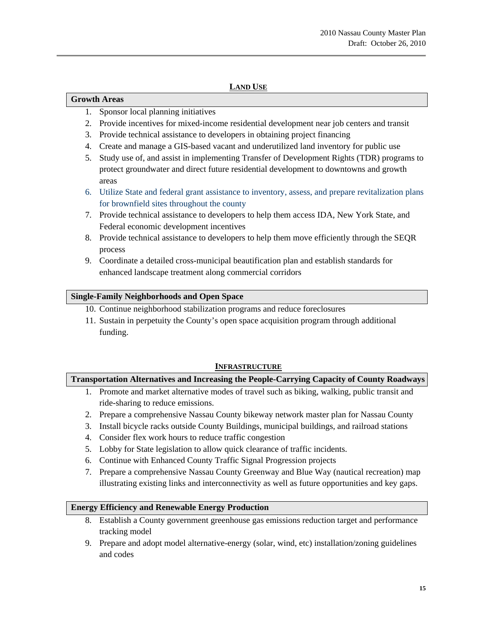# **LAND USE**

### **Growth Areas**

- 1. Sponsor local planning initiatives
- 2. Provide incentives for mixed-income residential development near job centers and transit
- 3. Provide technical assistance to developers in obtaining project financing
- 4. Create and manage a GIS-based vacant and underutilized land inventory for public use
- 5. Study use of, and assist in implementing Transfer of Development Rights (TDR) programs to protect groundwater and direct future residential development to downtowns and growth areas
- 6. Utilize State and federal grant assistance to inventory, assess, and prepare revitalization plans for brownfield sites throughout the county
- 7. Provide technical assistance to developers to help them access IDA, New York State, and Federal economic development incentives
- 8. Provide technical assistance to developers to help them move efficiently through the SEQR process
- 9. Coordinate a detailed cross-municipal beautification plan and establish standards for enhanced landscape treatment along commercial corridors

### **Single-Family Neighborhoods and Open Space**

- 10. Continue neighborhood stabilization programs and reduce foreclosures
- 11. Sustain in perpetuity the County's open space acquisition program through additional funding.

### **INFRASTRUCTURE**

# **Transportation Alternatives and Increasing the People-Carrying Capacity of County Roadways**

- 1. Promote and market alternative modes of travel such as biking, walking, public transit and ride-sharing to reduce emissions.
- 2. Prepare a comprehensive Nassau County bikeway network master plan for Nassau County
- 3. Install bicycle racks outside County Buildings, municipal buildings, and railroad stations
- 4. Consider flex work hours to reduce traffic congestion
- 5. Lobby for State legislation to allow quick clearance of traffic incidents.
- 6. Continue with Enhanced County Traffic Signal Progression projects
- 7. Prepare a comprehensive Nassau County Greenway and Blue Way (nautical recreation) map illustrating existing links and interconnectivity as well as future opportunities and key gaps.

### **Energy Efficiency and Renewable Energy Production**

- 8. Establish a County government greenhouse gas emissions reduction target and performance tracking model
- 9. Prepare and adopt model alternative-energy (solar, wind, etc) installation/zoning guidelines and codes